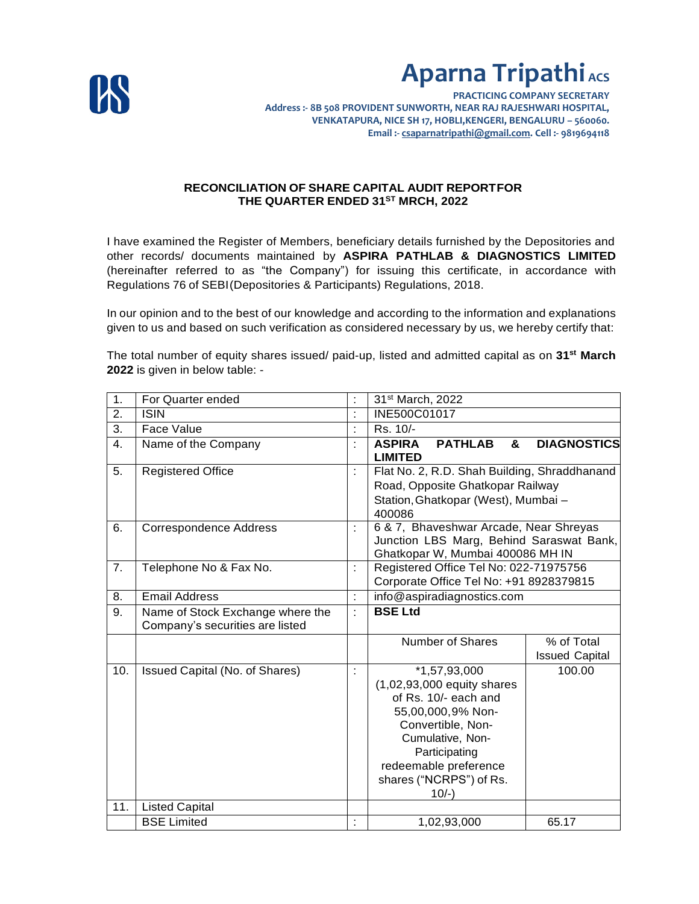

**PRACTICING COMPANY SECRETARY Address :- 8B 508 PROVIDENT SUNWORTH, NEAR RAJ RAJESHWARI HOSPITAL, VENKATAPURA, NICE SH 17, HOBLI,KENGERI, BENGALURU – 560060. Email :- csaparnatripathi@gmail.com. Cell :- 9819694118**

#### **RECONCILIATION OF SHARE CAPITAL AUDIT REPORTFOR THE QUARTER ENDED 31ST MRCH, 2022**

I have examined the Register of Members, beneficiary details furnished by the Depositories and other records/ documents maintained by **ASPIRA PATHLAB & DIAGNOSTICS LIMITED** (hereinafter referred to as "the Company") for issuing this certificate, in accordance with Regulations 76 of SEBI(Depositories & Participants) Regulations, 2018.

In our opinion and to the best of our knowledge and according to the information and explanations given to us and based on such verification as considered necessary by us, we hereby certify that:

The total number of equity shares issued/ paid-up, listed and admitted capital as on **31st March 2022** is given in below table: -

| 1.               | For Quarter ended                                                   |                      | 31 <sup>st</sup> March, 2022                                                                                                                                                                                        |                                     |
|------------------|---------------------------------------------------------------------|----------------------|---------------------------------------------------------------------------------------------------------------------------------------------------------------------------------------------------------------------|-------------------------------------|
| 2.               | <b>ISIN</b>                                                         | t                    | INE500C01017                                                                                                                                                                                                        |                                     |
| $\overline{3}$ . | Face Value                                                          | $\ddot{\phantom{a}}$ | Rs. 10/-                                                                                                                                                                                                            |                                     |
| 4.               | Name of the Company                                                 | $\blacksquare$       | <b>ASPIRA</b><br><b>PATHLAB</b><br>&<br><b>LIMITED</b>                                                                                                                                                              | <b>DIAGNOSTICS</b>                  |
| 5.               | <b>Registered Office</b>                                            |                      | Flat No. 2, R.D. Shah Building, Shraddhanand<br>Road, Opposite Ghatkopar Railway<br>Station, Ghatkopar (West), Mumbai -<br>400086                                                                                   |                                     |
| 6.               | <b>Correspondence Address</b>                                       | t                    | 6 & 7, Bhaveshwar Arcade, Near Shreyas<br>Junction LBS Marg, Behind Saraswat Bank,<br>Ghatkopar W, Mumbai 400086 MH IN                                                                                              |                                     |
| 7.               | Telephone No & Fax No.                                              | t                    | Registered Office Tel No: 022-71975756<br>Corporate Office Tel No: +91 8928379815                                                                                                                                   |                                     |
| 8.               | <b>Email Address</b>                                                | ÷                    | info@aspiradiagnostics.com                                                                                                                                                                                          |                                     |
| 9.               | Name of Stock Exchange where the<br>Company's securities are listed | ÷                    | <b>BSE Ltd</b>                                                                                                                                                                                                      |                                     |
|                  |                                                                     |                      | <b>Number of Shares</b>                                                                                                                                                                                             | % of Total<br><b>Issued Capital</b> |
| 10.              | <b>Issued Capital (No. of Shares)</b>                               | t                    | $*1,57,93,000$<br>(1,02,93,000 equity shares<br>of Rs. 10/- each and<br>55,00,000,9% Non-<br>Convertible, Non-<br>Cumulative, Non-<br>Participating<br>redeemable preference<br>shares ("NCRPS") of Rs.<br>$10/-$ ) | 100.00                              |
| 11.              | <b>Listed Capital</b>                                               |                      |                                                                                                                                                                                                                     |                                     |
|                  | <b>BSE Limited</b>                                                  | ċ                    | 1,02,93,000                                                                                                                                                                                                         | 65.17                               |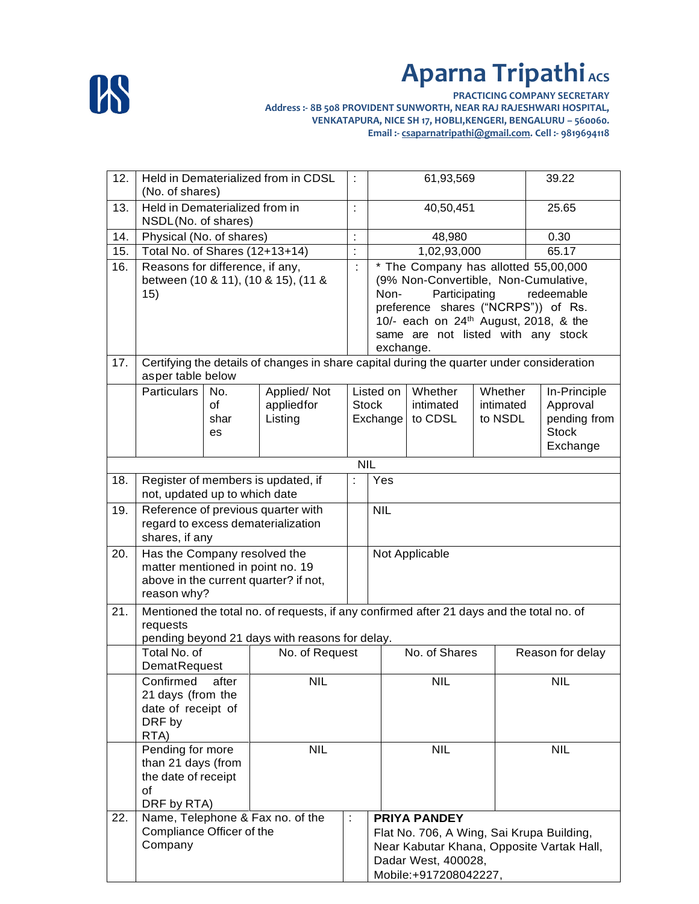

**PRACTICING COMPANY SECRETARY Address :- 8B 508 PROVIDENT SUNWORTH, NEAR RAJ RAJESHWARI HOSPITAL, VENKATAPURA, NICE SH 17, HOBLI,KENGERI, BENGALURU – 560060. Email :- csaparnatripathi@gmail.com. Cell :- 9819694118**

| 12. | Held in Dematerialized from in CDSL<br>(No. of shares)                                                         |                                  | ÷                                   | 61,93,569      |                                                   | 39.22                                                            |           |                  |              |
|-----|----------------------------------------------------------------------------------------------------------------|----------------------------------|-------------------------------------|----------------|---------------------------------------------------|------------------------------------------------------------------|-----------|------------------|--------------|
| 13. | Held in Dematerialized from in<br>NSDL(No. of shares)                                                          |                                  | $\ddot{\phantom{a}}$                | 40,50,451      |                                                   | 25.65                                                            |           |                  |              |
| 14. | Physical (No. of shares)                                                                                       |                                  |                                     | ÷              | 48,980                                            |                                                                  |           | 0.30             |              |
| 15. | Total No. of Shares (12+13+14)                                                                                 |                                  |                                     | $\ddot{\cdot}$ | 1,02,93,000                                       |                                                                  |           | 65.17            |              |
| 16. | Reasons for difference, if any,                                                                                |                                  |                                     | ċ              | * The Company has allotted 55,00,000              |                                                                  |           |                  |              |
|     |                                                                                                                |                                  | between (10 & 11), (10 & 15), (11 & |                | (9% Non-Convertible, Non-Cumulative,              |                                                                  |           |                  |              |
|     | 15)                                                                                                            |                                  |                                     |                | Non-                                              | Participating                                                    |           | redeemable       |              |
|     |                                                                                                                |                                  |                                     |                |                                                   | preference shares ("NCRPS")) of Rs.                              |           |                  |              |
|     |                                                                                                                |                                  |                                     |                | 10/- each on 24 <sup>th</sup> August, 2018, & the |                                                                  |           |                  |              |
|     |                                                                                                                |                                  |                                     |                | same are not listed with any stock                |                                                                  |           |                  |              |
|     |                                                                                                                |                                  |                                     | exchange.      |                                                   |                                                                  |           |                  |              |
| 17. | Certifying the details of changes in share capital during the quarter under consideration<br>asper table below |                                  |                                     |                |                                                   |                                                                  |           |                  |              |
|     | <b>Particulars</b>                                                                                             | No.                              | Applied/Not                         |                | Listed on                                         | Whether                                                          | Whether   | In-Principle     |              |
|     |                                                                                                                | of                               | appliedfor                          |                | <b>Stock</b>                                      | intimated                                                        | intimated | Approval         |              |
|     |                                                                                                                | shar<br>es                       | Listing                             |                | Exchange                                          | to CDSL                                                          | to NSDL   | <b>Stock</b>     | pending from |
|     |                                                                                                                |                                  |                                     |                |                                                   |                                                                  |           | Exchange         |              |
|     |                                                                                                                |                                  |                                     | <b>NIL</b>     |                                                   |                                                                  |           |                  |              |
| 18. |                                                                                                                |                                  |                                     |                | Yes                                               |                                                                  |           |                  |              |
|     | Register of members is updated, if<br>not, updated up to which date                                            |                                  |                                     | ÷              |                                                   |                                                                  |           |                  |              |
| 19. | Reference of previous quarter with                                                                             |                                  |                                     | <b>NIL</b>     |                                                   |                                                                  |           |                  |              |
|     |                                                                                                                |                                  | regard to excess dematerialization  |                |                                                   |                                                                  |           |                  |              |
|     | shares, if any                                                                                                 |                                  |                                     |                |                                                   |                                                                  |           |                  |              |
| 20. | Has the Company resolved the<br>matter mentioned in point no. 19                                               |                                  |                                     |                |                                                   | Not Applicable                                                   |           |                  |              |
|     |                                                                                                                |                                  |                                     |                |                                                   |                                                                  |           |                  |              |
|     | above in the current quarter? if not,<br>reason why?                                                           |                                  |                                     |                |                                                   |                                                                  |           |                  |              |
| 21. | Mentioned the total no. of requests, if any confirmed after 21 days and the total no. of                       |                                  |                                     |                |                                                   |                                                                  |           |                  |              |
|     | requests                                                                                                       |                                  |                                     |                |                                                   |                                                                  |           |                  |              |
|     | pending beyond 21 days with reasons for delay.                                                                 |                                  |                                     |                |                                                   |                                                                  |           |                  |              |
|     | Total No. of                                                                                                   |                                  | No. of Request                      |                | No. of Shares                                     |                                                                  |           | Reason for delay |              |
|     | DematRequest                                                                                                   |                                  |                                     |                |                                                   |                                                                  |           |                  |              |
|     |                                                                                                                | Confirmed<br>after<br><b>NIL</b> |                                     |                |                                                   | <b>NIL</b>                                                       |           | <b>NIL</b>       |              |
|     | 21 days (from the                                                                                              |                                  |                                     |                |                                                   |                                                                  |           |                  |              |
|     | date of receipt of<br>DRF by                                                                                   |                                  |                                     |                |                                                   |                                                                  |           |                  |              |
|     | RTA)                                                                                                           |                                  |                                     |                |                                                   |                                                                  |           |                  |              |
|     | Pending for more                                                                                               |                                  | <b>NIL</b>                          |                |                                                   | <b>NIL</b>                                                       |           | <b>NIL</b>       |              |
|     | than 21 days (from                                                                                             |                                  |                                     |                |                                                   |                                                                  |           |                  |              |
|     | the date of receipt                                                                                            |                                  |                                     |                |                                                   |                                                                  |           |                  |              |
|     | of                                                                                                             |                                  |                                     |                |                                                   |                                                                  |           |                  |              |
|     | DRF by RTA)                                                                                                    |                                  |                                     |                |                                                   |                                                                  |           |                  |              |
| 22. |                                                                                                                |                                  | Name, Telephone & Fax no. of the    | ÷              |                                                   | <b>PRIYA PANDEY</b>                                              |           |                  |              |
|     | Compliance Officer of the<br>Company                                                                           |                                  |                                     |                |                                                   | Flat No. 706, A Wing, Sai Krupa Building,                        |           |                  |              |
|     |                                                                                                                |                                  |                                     |                |                                                   | Near Kabutar Khana, Opposite Vartak Hall,<br>Dadar West, 400028, |           |                  |              |
|     |                                                                                                                |                                  |                                     |                |                                                   | Mobile:+917208042227,                                            |           |                  |              |
|     |                                                                                                                |                                  |                                     |                |                                                   |                                                                  |           |                  |              |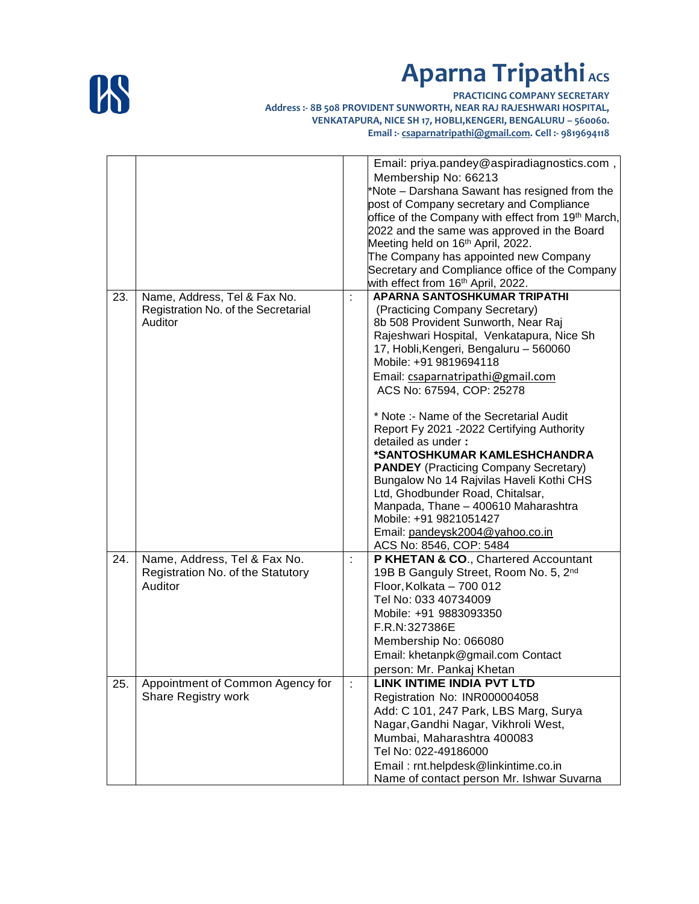

**PRACTICING COMPANY SECRETARY Address :- 8B 508 PROVIDENT SUNWORTH, NEAR RAJ RAJESHWARI HOSPITAL, VENKATAPURA, NICE SH 17, HOBLI,KENGERI, BENGALURU – 560060. Email :- csaparnatripathi@gmail.com. Cell :- 9819694118**

|     |                                     |   | Email: priya.pandey@aspiradiagnostics.com,                     |
|-----|-------------------------------------|---|----------------------------------------------------------------|
|     |                                     |   | Membership No: 66213                                           |
|     |                                     |   | *Note – Darshana Sawant has resigned from the                  |
|     |                                     |   | post of Company secretary and Compliance                       |
|     |                                     |   | office of the Company with effect from 19 <sup>th</sup> March, |
|     |                                     |   | 2022 and the same was approved in the Board                    |
|     |                                     |   | Meeting held on 16 <sup>th</sup> April, 2022.                  |
|     |                                     |   | The Company has appointed new Company                          |
|     |                                     |   | Secretary and Compliance office of the Company                 |
|     |                                     |   | with effect from 16 <sup>th</sup> April, 2022.                 |
| 23. |                                     | ÷ | <b>APARNA SANTOSHKUMAR TRIPATHI</b>                            |
|     | Name, Address, Tel & Fax No.        |   |                                                                |
|     | Registration No. of the Secretarial |   | (Practicing Company Secretary)                                 |
|     | Auditor                             |   | 8b 508 Provident Sunworth, Near Raj                            |
|     |                                     |   | Rajeshwari Hospital, Venkatapura, Nice Sh                      |
|     |                                     |   | 17, Hobli, Kengeri, Bengaluru - 560060                         |
|     |                                     |   | Mobile: +91 9819694118                                         |
|     |                                     |   | Email: csaparnatripathi@gmail.com                              |
|     |                                     |   | ACS No: 67594, COP: 25278                                      |
|     |                                     |   |                                                                |
|     |                                     |   | * Note :- Name of the Secretarial Audit                        |
|     |                                     |   | Report Fy 2021 -2022 Certifying Authority                      |
|     |                                     |   | detailed as under:                                             |
|     |                                     |   | *SANTOSHKUMAR KAMLESHCHANDRA                                   |
|     |                                     |   | <b>PANDEY</b> (Practicing Company Secretary)                   |
|     |                                     |   | Bungalow No 14 Rajvilas Haveli Kothi CHS                       |
|     |                                     |   | Ltd, Ghodbunder Road, Chitalsar,                               |
|     |                                     |   |                                                                |
|     |                                     |   | Manpada, Thane - 400610 Maharashtra                            |
|     |                                     |   | Mobile: +91 9821051427                                         |
|     |                                     |   | Email: pandeysk2004@yahoo.co.in                                |
|     |                                     |   | ACS No: 8546, COP: 5484                                        |
| 24. | Name, Address, Tel & Fax No.        |   | P KHETAN & CO., Chartered Accountant                           |
|     | Registration No. of the Statutory   |   | 19B B Ganguly Street, Room No. 5, 2nd                          |
|     | Auditor                             |   | Floor, Kolkata - 700 012                                       |
|     |                                     |   | Tel No: 033 40734009                                           |
|     |                                     |   | Mobile: +91 9883093350                                         |
|     |                                     |   | F.R.N:327386E                                                  |
|     |                                     |   | Membership No: 066080                                          |
|     |                                     |   |                                                                |
|     |                                     |   | Email: khetanpk@gmail.com Contact                              |
|     |                                     |   | person: Mr. Pankaj Khetan                                      |
| 25. | Appointment of Common Agency for    | ÷ | LINK INTIME INDIA PVT LTD                                      |
|     | <b>Share Registry work</b>          |   | Registration No: INR000004058                                  |
|     |                                     |   | Add: C 101, 247 Park, LBS Marg, Surya                          |
|     |                                     |   | Nagar, Gandhi Nagar, Vikhroli West,                            |
|     |                                     |   | Mumbai, Maharashtra 400083                                     |
|     |                                     |   | Tel No: 022-49186000                                           |
|     |                                     |   |                                                                |
|     |                                     |   | Email: rnt.helpdesk@linkintime.co.in                           |
|     |                                     |   | Name of contact person Mr. Ishwar Suvarna                      |